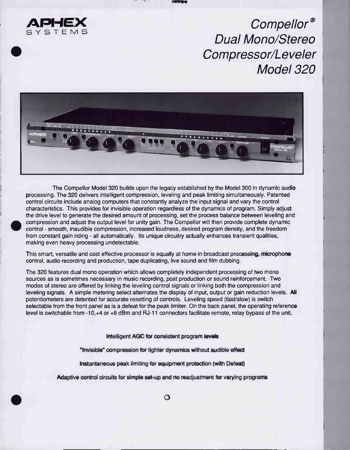

•

Compellor® Dual Mono/Stereo Compressor/Leveler Model 320



compression and adjust the output level for unity gain. The Compellor will then provide complete dynamic control - smooth, inaudible compression, increased loudness, desired program density, and the freedom The Compellor Model 320 builds upon the legacy established by the Model 300 in dynamic audio processing. The 320 delivers intelligent compression, leveling and peak limiting simultaneously. Patented control circuits include analog computers that constantly analyze the input signal and vary the control characteristics. This provides for invisible operation regardless of the dynamics of program. Simply adjust the drive level to generate the desired amount of processing, set the process balance between leveling and compression and adjust the output level for unity gain. The Compellor will then provide complete dynamic from constant gain riding - all automatically. Its unique circuitry actually enhances transient qualities, making even heavy processing undetectable.

This smart, versatile and cost effective processor is equally at home in broadcast processing, microphone control, audio recording and production, tape duplicating, live sound and film dubbing.

The 320 features dual mono operation which allows completely independent processing of two mono sources as is sometimes necessary in music recording, post production or sound reinforcement. Two modes of stereo are offered by linking the leveling control signals or linking both the compression and leveling signals. A simple metering select alternates the display of input, output or gain reduction levels. All potentiometers are detented for accurate resetting of controls. Leveling speed (fast/slow) is switch selectable from the front panel as is a defeat for the peak limiter. On the back panel, the operating reference level is switchable from -10,+4 or +8 dBm and RJ-1 1 connectors facilitate remote, relay bypass of the unit.

Intelligent AGC for consistent program levels

"Invisible" compression for tighter dynamics without audible effect

Instantaneous peak limiting for equipment protection (with Defeat)

Adaptive control circuits for simple set-up and no readjustment for varying programs

o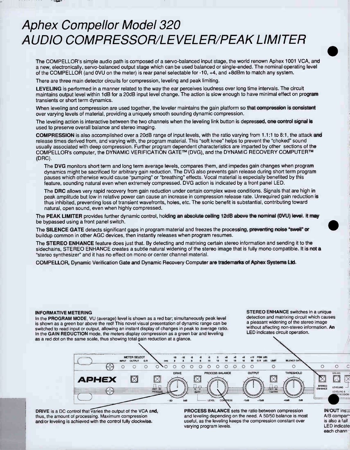# **Aphex Compellor Model 320** AUDIO COMPRESSOR/LEVELER/PEAK LIMITER

The COMPELLOR's simple audio path is composed of a servo-balanced input stage, the world renown Aphex 1001 VGA, and a new, electronically, servo-balanced output stage which can be used balanced or single-ended. The nominal operating level of the COMPELLOR (and OVU on the meter) is rear panel selectable for -10, +4, and +8dBm to match any system.

There are three main detector circuits for compression, leveling and peak limiting.

LEVELING is performed in a manner related to the way the ear perceives loudness over long time intervals. The circuit maintains output level within 1dB for a 20dB input level change. The action is slow enough to have minimal effect on program transients or short term dynamics.

When leveling and compression are used together, the leveler maintains the gain platform so that compression is consistent over varying levels of material, providing a uniquely smooth sounding dynamic compression.

The leveling action is interactive between the two channels when the leveling link button is depressed, one control signal is used to preserve overall balance and stereo imaging.

COMPRESSION is also accomplished over a 20dB range of input levels, with the ratio varying from 1.1:1 to 8:1, the attack and release times derived from, and varying with, the program material. This "soft knee" helps to prevent the "choked" sound usually associated with deep compression. Further program dependent characteristics are imparted by other sections of the COMPELLOR's computer, the DYNAMIC VERIFICATION GATE™ (DVG), and the DYNAMIC RECOVERY COMPUTER™ (DRC).

The DVG monitors short term and long term average levels, compares them, and impedes gain changes when program dynamics might be sacrificed for arbitrary gain reduction. The DVG also prevents gain release during short term program pauses which otherwise would cause "pumping" or "breathing" effects. Vocal material is especially benefited by this feature, sounding natural even when extremely compressed. DVG action is indicated by a front panel LED.

The DRC allows very rapid recovery from gain reduction under certain complex wave conditions. Signals that are high in peak amplitude but low in relative power can cause an increase in compression release rate. Unrequired gain reduction is thus inhibited, preventing loss of transient wavefronts, holes, etc. The sonic benefit is substantial, contributing toward natural, open sound, even when highly compressed.

The PEAK LIMITER provides further dynamic control, holding an absolute ceiling 12dB above the nominal (OVU) level. It may be bypassed using a front panel switch.

The SILENCE GATE detects significant gaps in program material and freezes the processing, preventing noise "swell" or buildup common in other AGC devices, then instantly releases when program resumes.

The STEREO ENHANCE feature does just that. By detecting and matrixing certain stereo information and sending it to the sidechains, STEREO ENHANCE creates a subtle natural widening of the stereo image that is fully mono compatible. It is not a "stereo synthesizer" and it has no effect on mono or center channel material.

COMPELLOR, Dynamic Verification Gate and Dynamic Recovery Computer are trademarks of Aphex Systems Ltd.

#### INFORMATIVE METERING

In the PROGRAM MODE, VU (average) level is shown as a red bar; simultaneously peak level is shown as a green bar above the red! This novel visual presentation of dynamic range can be switched to read input or output, allowing an instant display of changes in peak to average ratio. In the GAIN REDUCTION mode, the meters display compression as a green bar and leveling as a red dot on the same scale, thus showing total gain reduction at a glance.

STEREO ENHANCE switches in a unique detection and matrixing circuit which causes a pleasant widening of the stereo image without affecting non-stereo information. An LED indicates circuit operation.



DRIVE is a DC control that varies the output of the VCA and, thus, the amount of processing. Maximum compression and/or leveling is achieved with the control fully clockwise.

PROCESS BALANCE sets the ratio between compression and leveling depending on the need. A 50/50 balance is most useful, as the leveling keeps the compression constant over varying program levels.

IN/OUT ins A/B compar' is also a fail LED indicate each chann

 $\bullet$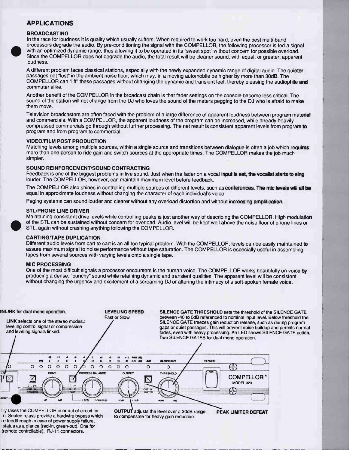#### APPLICATIONS

#### BROADCASTING

process<br>with an<br>Since th In the race for loudness it is quality which usually suffers. When required to work too hard, even the best multi-band processors degrade the audio. By pre-conditioning the signal with the COMPELLOR, the following processor is fed a signal with an optimized dynamic range, thus allowing it to be operated in its "sweet spot" without concern for possible overload. Since the COMPELLOR does not degrade the audio, the total result will be cleaner sound, with equal, or greater, apparent loudness.

A different problem faces classical stations, especially with the newly expanded dynamic range of digital audio. The quieter passages get "lost" in the ambient noise floor, which may, in a moving automobile be higher by more than 30dB. The COMPELLOR can "lift" these passages without changing the dynamic and transient feel, thereby pleasing the audiophile and commuter alike.

Another benefit of the COMPELLOR in the broadcast chain is that fader settings on the console become less critical. The sound of the station will not change from the DJ who loves the sound of the meters pegging to the DJ who is afraid to make them move.

Television broadcasters are often faced with the problem of a large difference of apparent loudness between program material and commercials. With a COMPELLOR, the apparent loudness of the program can be increased, while already heavily compressed commercials go through without further processing. The net result is consistent apparent levels from program to program and from program to commercial.

#### VIDEO/FILM POST PRODUCTION

Matching levels among multiple sources, within a single source and transitions between dialogue is often a job which requires more than one person to ride gain and switch sources at the appropriate times. The COMPELLOR makes the job much simpler.

#### SOUND REINFORCEMENT/SOUND CONTRACTING

Feedback is one of the biggest problems in live sound. Just when the fader on a vocal input is set, the vocalist starts to sing louder. The COMPELLOR, however, can maintain maximum level before feedback.

The COMPELLOR also shines in controlling multiple sources of different levels, such as conferences. The mic levels will all be equal in approximate loudness without changing the character of each individual's voice.

Paging systems can sound louder and clearer without any overload distortion and without increasing amplification.

#### STL/PHONE LINE DRIVER

Maintaining consistent drive levels while controlling peaks is just another way of describing the COMPELLOR. High modulation of the STL can be sustained without concern for overload. Audio level will be kept well above the noise floor of phone lines or STL, again without crashing anything following the COMPELLOR.

#### CARTING/TAPE DUPLICATION

Different audio levels from cart to cart is an all too typical problem. With the COMPELLOR, levels can be easily maintained to assure maximum signal to noise performance without tape saturation. The COMPELLOR is especially useful in assembling tapes from several sources with varying levels onto a single tape.

#### MIC PROCESSING

One of the most difficult signals a processor encounters is the human voice. The COMPELLOR works beautifully on voice by producing a dense, "punchy" sound while retaining dynamic and transient qualities. The apparent level will be consistent without changing the urgency and excitement of a screaming DJ or altering the intimacy of a soft-spoken female voice.



ly takes the COMPELLOR in or out of circuit for n. Sealed relays provide a hardwire bypass which e feedthrough in case of power supply failure. status as a glance (red-in, green-out). One for (remote controllable), RJ-11 connectors.

OUTPUT adjusts the level over a 20dB range to compensate for heavy gain reduction.

PEAK LIMITER DEFEAT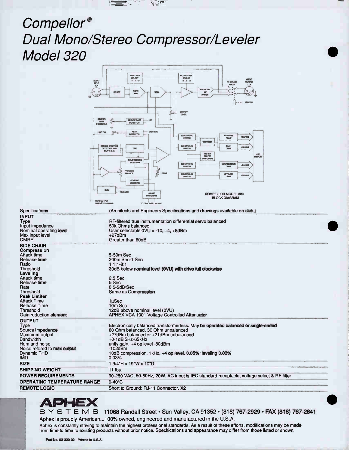

# Compellor® Dual Mono/Stereo Compressor/Leveler Model 320

| <b>AUDIO</b>                                 | <b>INPUT REF</b><br><b>OUTPUT RBF</b><br><b>SELECT</b><br><b>BELECT</b><br><b>AUDIO</b><br>OUTPUT<br>$-8 - 4 10$<br>$-8 - 4 10$ |
|----------------------------------------------|---------------------------------------------------------------------------------------------------------------------------------|
| <b>NPUT</b><br>XLR                           | <b><i>UD BYPABE</i></b><br><b>RIBLAY</b><br>XLR                                                                                 |
| 60<br>O.                                     | <b>BALANCED</b><br>o-<br>ত<br><b>HISTR</b><br>AMP<br>-0<br><b><i>REMET</i></b><br><b>KOAIG</b><br><b>LINE</b><br>o-<br>$\Theta$ |
| $\circ$                                      | DRIVER                                                                                                                          |
|                                              | <b><i>HELICITE</i></b>                                                                                                          |
|                                              | <b>OUTPUT</b>                                                                                                                   |
| SILENCE                                      | LENSIL                                                                                                                          |
| GATE<br><b>THRESHOLD</b>                     | <b>SILENCE GATE</b><br>EITO<br>DETECTOR                                                                                         |
| <b>LIMIT ON</b>                              | <b>PEAK</b><br><b>LIMIT LIND</b>                                                                                                |
|                                              | <b>DETECTOR</b><br><b>AVERAGE</b><br><b>ELBOTRONIC</b><br><b>10 LRIBB</b><br><b>SWITCH</b><br><b>DRIVE</b>                      |
|                                              | RECTIFIER                                                                                                                       |
|                                              | STEREO ENHANCE<br><b>ELECTRONIC</b><br>PEAK<br>10 LBIBB<br>DETECTOR AND<br>DRO<br><b>SIMITCH</b><br><b>DRIVE</b><br>SWITCHING   |
|                                              | METER<br>LID<br><b>SELECT</b><br><b>DISPLAY</b>                                                                                 |
|                                              | <b>SWITCHING</b><br><b>COMPRESSION</b><br><b>SIDECHAIN</b><br><b>BLECTRONIC</b><br>COMPRESSIO                                   |
|                                              | 10 LINES<br><b>SWITCH</b><br><b>ORIVE</b><br>PROCESS                                                                            |
|                                              | <b>BALANCE</b><br>DRIVE<br><b>III.SCTRONIC</b><br><b>LEVIELING</b><br>10 LINES<br><b>DRIVE</b><br><b>SWITCH</b>                 |
|                                              | <b>LEVELING</b><br><b>SIDECHAIN</b>                                                                                             |
|                                              | <b>DVG</b>                                                                                                                      |
|                                              | DVG-LIID<br>LINKING<br><b>COMPELLOR MODEL 320</b><br><b>SWITCHING</b>                                                           |
| <b>VOAI OUTPUT</b>                           | <b>BLOCK DIAGRAM</b>                                                                                                            |
|                                              | <b>OPPORTE CHANNEL</b><br>TO OPPOSITE CHANNEL                                                                                   |
| Specifications                               | (Architects and Engineers Specifications and drawings available on disk.)                                                       |
| <b>INPUT</b><br>Type                         | RF-filtered true instrumentation differential servo balanced                                                                    |
| Input impedance                              | 50k Ohms balanced                                                                                                               |
| Nominal operating level                      | User selectable $0\vee\cup$ = -10, +4, +8dBm<br>$+27$ dBm                                                                       |
| Max input level<br><b>CMRR</b>               | Greater than 60dB                                                                                                               |
| <b>SIDE CHAIN</b>                            |                                                                                                                                 |
| Compression                                  |                                                                                                                                 |
| <b>Attack time</b><br>Release time           | 5-50m Sec<br>200m Sec-1 Sec                                                                                                     |
| Ratio                                        | $1.1:1 - 8:1$                                                                                                                   |
| Threshold<br>Leveling                        | 30dB below nominal level (OVU) with drive full clockwise                                                                        |
| <b>Attack time</b>                           | 2.5 Sec                                                                                                                         |
| Release time                                 | 5 Sec                                                                                                                           |
| Rate<br>Threshold                            | $0.5 - 5dB/Sec$<br>Same as Compression                                                                                          |
| <b>Peak Limiter</b>                          |                                                                                                                                 |
| <b>Attack Time</b><br><b>Release Time</b>    | 1µSec<br>10m Sec                                                                                                                |
| Threshold                                    | 12dB above nominal level (0VU)                                                                                                  |
| Gain reduction element                       | APHEX VCA 1001 Voltage Controlled Attenuator                                                                                    |
| <b>OUTPUT</b>                                |                                                                                                                                 |
| Type<br>Source impedance                     | Electronically balanced transformerless. May be operated balanced or single-ended<br>60 Ohm balanced. 30 Ohm unbalanced         |
| Maximum output                               | +27dBm balanced or +21dBm unbalanced                                                                                            |
| <b>Bandwidth</b>                             | $+0-1$ dB 5Hz-65kHz                                                                                                             |
| Hum and noise<br>Noise refered to max output | unity gain, +4 op level -80dBm<br>$-102$ d $Bm$                                                                                 |
| <b>Dynamic THD</b>                           | 10dB compression, 1kHz, +4 op level, 0.05%; leveling 0.03%                                                                      |
| <b>IMD</b>                                   | 0.03%                                                                                                                           |
| <b>SIZE</b>                                  | 1 3/4"H x 19"W x 10"D                                                                                                           |
| <b>SHIPPING WEIGHT</b>                       | 11 lbs.                                                                                                                         |
| <b>POWER REQUIREMENTS</b>                    | 90-250 VAC, 50-60Hz, 20W. AC input is IEC standard receptacle, voltage select & RF filter                                       |
| <b>OPERATING TEMPERATURE RANGE</b>           | $0-40^\circ C$                                                                                                                  |
| <b>REMOTE LOGIC</b>                          | Short to Ground; RJ-11 Connector, X2                                                                                            |

# **APHEX**

SYSTEMS 11068 Randall Street · Sun Valley, CA 91352 · (818) 767-2929 · FAX (818) 767-2641 Aphex is proudly American...100% owned, engineered and manufactured in the U.S.A.

Aphex is constantly striving to maintain the highest professional standards. As a result of these efforts, modifications may be made from time to time to existing products without prior notice. Specifications and appearance may differ from those listed or shown.

Part No. 02-320-02 Printed in U.S.A.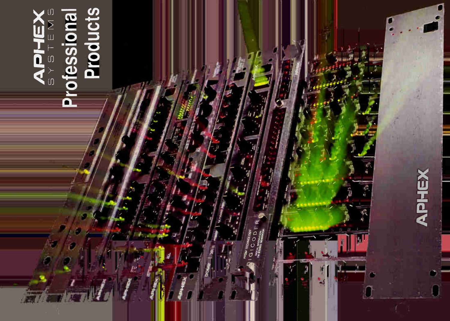

# Products



၀<br>ပ

噗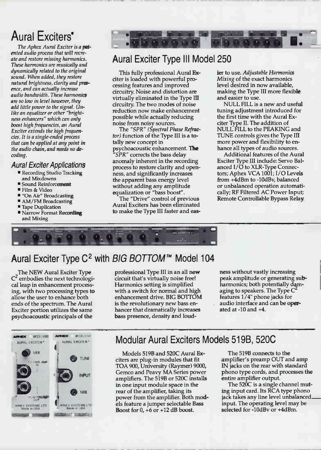### $\Gamma$ ural L $\Lambda$ Ultu $\sigma$ io •

The Aphex Aural Exciter is a patented audio process that will recreate and restore missing harmonics. These harmonics are musically and dynamically related to the original sound. When added, they restore natural brightness, clarity and presence, and can actually increase audio bandwidth. These harmonics are so low in level however, they add little power to the signal. Unlike an equalizer or other "brightness enhancers" which can only boost high frequencies, an Aural Exciter extends the high frequencies. It is a single-ended process that can be applied at any point in the audio chain, and needs no decoding.

## Aural Exciter Applications

- Recording Studio Tracking and Mixdowns
- **E** Sound Reinforcement
- Film & Video
- "On Air" Broadcasting
- AM/FM Broadcasting
- **Tape Duplication**
- **Narrow Format Recording** and Mixing



## Aural Exciter Type Ill Model 250

This fully professional Aural Exciter is loaded with powerful processing features and improved circuitry. Noise and distortion are virtually eliminated in the Type III circuitry. The two modes of noise reduction now make enhancement possible while actually reducing noise from noisy sources.

The "SPR" (Spectral Phase Refractor) function of the Type III is a totally new concept in psychoacoustic enhancement. The "SPR" corrects the bass delay anomaly inherent in the recording process to restore clarity and openness, and significantly increases the apparent bass energy level without adding any amplitude equalization or "bass boost".

The "Drive" control of previous Aural Exciters has been eliminated to make the Type III faster and easier to use. Adjustable Harmonics Mixing of the exact harmonics level desired in now available, making the Type III more flexible and easier to use.

NULL FILL is a new and useful tuning adjustment introduced for the first time with the Aural Exciter Type II. The addition of NULL FILL to the PEAKING and TUNE controls gives the Type HI more power and flexibility to enhance all types of audio sources.

Additional features of the Aural Exciter Type III include: Servo Balanced I/O to XLR-Type Connectors; Aphex VCA 1001; I/O Levels from +4dBm to -10dBv, balanced or unbalanced operation automatically; RF Filtered AC Power Input; Remote Controllable Bypass Relay.



## Aural Exciter Type  $C^2$  with BIG BOTTOM<sup>TM</sup> Model 104

The NEW Aural Exciter Type embodies the next technological leap in enhancement processing, with two processing types to allow the user to enhance both ends of the spectrum. The Aural Exciter portion utilizes the same psychoacoustic principals of the

professional Type III in an all new circuit that's virtually noise free! Harmonics setting is simplified with a switch for normal and high enhancement drive. BIG BOTTOM is the revolutionary new bass enhancer that dramatically increases bass presence, density and loudness without vastly increasing peak amplitude or generating subharmonics; both potentially damaging to speakers. The Type C` features 1/4" phone jacks for audio interface and can be operated at  $-10$  and  $+4$ .



## Modular Aural Exciters Models 519B, 520C

Models 519B and 520C Aural Exciters are plug-in modules that fit TOA 900, University (Raymer) 9000, Gemco and Peavy MA Series power amplifiers. The 519B or 520C installs in one input module space in the rear of the amplifier, taking its power from the amplifier. Both models feature a jumper selectable Bass Boost for  $0, +6$  or  $+12$  dB boost.

The 519B connects to the amplifier's preamp OUT and amp IN jacks on the rear with standard phono type cords, and processes the entire amplifier output.

The 520C is a single channel muting input card. Its RCA type phono jack takes any line level unbalanced. input. The operating level may be selected for -10dBv or +4dBm.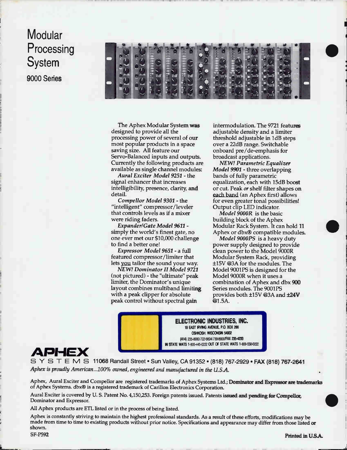# **Modular Processing** System 9000 Series



The Aphex Modular System was designed to provide all the processing power of several of our most popular products in a space saving size. All feature our Servo-Balanced inputs and outputs. Currently the following products are available as single channel modules:

Aural Exciter Model 9251 - the signal enhancer that increases intelligibility, presence, clarity, and detail.

Compellor Model 9301 - the "intelligent" compressor/leveler that controls levels as if a mixer were riding faders.

Expander/Gate Model 9611 simply the world's finest gate, no one ever met our \$10,000 challenge to find a better one!

Expressor Model 9651 - a full featured compressor/limiter that lets you tailor the sound your way.

NEW! Dominator II Model 9721 (not pictured) - the "ultimate" peak limiter, the Dominator's unique layout combines multiband limiting with a peak clipper for absolute peak control without spectral gain

intermodulation. The 9721 features adjustable density and a limiter threshold adjustable in 1dB steps over a 22dB range. Switchable onboard pre/de-emphasis for broadcast applications.

•

NEW! Parametric Equalizer Model 9901 - three overlapping bands of fully parametric equalization, each with 15dB boost or cut. Peak or shelf filter shapes on each band (an Aphex first) allows for even greater tonal possibilities! Output clip LED indicator.

Model 9000R is the basic building block of the Aphex Modular Rack System. It can hold 11 Aphex or dbx® compatible modules.

Model 9000PS is a heavy duty power supply designed to provide clean power to the Model 9000R Modular System Rack, providing ±15V @3A for the modules. The Model 9001PS is designed for the Model 9000R when it uses a combination of Aphex and dbx 900 Series modules. The 9001PS provides both  $\pm 15V$  @3A and  $\pm 24V$  $@1.5A.$ 

ELECTRONIC INDUSTRIES, INC. 19 EAST IRVING AVENUE, P.O. BOX 266 OSHKOSH, WISCONSIN 54902 (414) 235-89301722-6604/739-8900/FAX 235-4233 IN STATE WATS 1-800-445-0222 OUT OF STATE WATS 1-800-5584222



SYSTEMS 11068 Randall Street • Sun Valley, CA 91352 • (818) 767-2929 • FAX (818) 767-2641 Aphex is proudly American...100% owned, engineered and manufactured in the U.S.A.

Aphex, Aural Exciter and Compellor are registered trademarks of Aphex Systems Ltd.; Dominator and Expressor are trademarks of Aphex Systems. dbx® is a registered trademark of Carillon Electronics Corporation.

Aural Exciter is covered by U. S. Patent No. 4,150,253. Foreign patents issued. Patents issued and pending for Compellor, Dominator and Expressor.

All Aphex products are ETL listed or in the process of being listed.

Aphex is constantly striving to maintain the highest professional standards. As a result of these efforts, modifications may be made from time to time to existing products without prior notice. Specifications and appearance may differ from those listed or shown. SF-P592 Printed in U.S.A.

 $\bullet$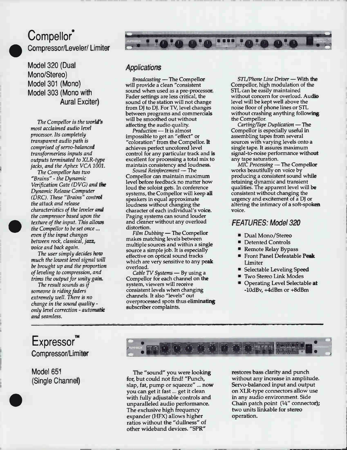## **Compellor** Compressor/Leveler/ Limiter

Model 320 (Dual Mono/Stereo) Model 301 (Mono) Model 303 (Mono with Aural Exciter)

The Compellor is the world's most acclaimed audio level processor. Its completely transparent audio path is comprised of servo-balanced transformerless inputs and outputs terminated to XLR-type jacks, and the Aphex VCA 1001.

The Compellor has two "Brains" - the Dynamic Verification Gate (DVG) and the Dynamic Release Computer (DRC). These "Brains" control the attack and release characteristics of the leveler and the compressor based upon the texture of the input. This allows the Compellor to be set once ... even if the input changes between rock, classical, jazz, voice and back again.

The user simply decides how much the lowest level signal will be brought up and the proportion of leveling to compression, and trims the output for unity gain.

The result sounds as if someone is riding faders extremely well. There is no change in the sound quality only level correction - automatic and seamless.

## **Applications**

Broadcasting — The Compellor will provide a clean "consistent sound when used as a pre-processor. Fader settings are less critical, the sound of the station will not change from DJ to DJ. For TV, level changes between programs and commercials will be smoothed out without affecting the audio quality.

Production - It is almost impossible to get an "effect" or "coloration" from the Compellor. It achieves perfect uncolored level control for any particular track and is excellent for processing a total mix to maintain consistency and loudness.

Sound Reinforcement — The Compellor can maintain maximum level before feedback no matter how loud the soloist gets. In conference systems, the Compellor will keep all speakers in equal approximate loudness without changing the character of each individual's voice. Paging systems can sound louder and deaner without any overload distortion.

Film Dubbing - The Compellor makes matching levels between multiple sources and within a single source a simple job. It is especially effective on optical sound tracks which are very sensitive to any peak overload.

Cable TV Systems - By using a Compellor for each channel on the system, viewers will receive consistent levels when changing channels. It also "levels" out overprocessed spots thus eliminating subscriber complaints.

STL/Phone Line Driver — With the Compellor, high modulation of the STL can be easily maintained without concern for overload. Audio level will be kept well above the noise floor of phone lines or STL without crashing anything following the Compellor.

1Z".1

**A'O''''' 'A'A'** 

Carting/Tape Duplication — The Compellor is especially useful in assembling tapes from several sources with varying levels onto a single tape. It assures maximum signal-to-noise performance without

any tape saturation.<br>MIC *Processing* — The Compellor works beautifully on voice by producing a consistent sound while retaining dynamic and transient qualities. The apparent level will be consistent without changing the urgency and excitement of a DJ or altering the intimacy of a soft-spoken voice.

## FEATURES: Model 320

- Dual Mono/Stereo
- Detented Controls
- Remote Relay Bypass
- Front Panel Defeatable Peak Limiter
- Selectable Leveling Speed
- **Two Stereo Link Modes**
- **Operating Level Selectable at** -10dBv, +4dBm or +8dBm

## **Expressor** Compressor/Limiter

Model 651 (Single Channel)

•



The "sound" you were looking for, but could not find! "Punch, slap, fat, pump or squeeze" ... now you can get it fast ... get it clean with fully adjustable controls and unparalleled audio performance. The exclusive high frequency expander (HFX) allows higher ratios without the "dullness" of other wideband devices. "SPR"

restores bass clarity and punch without any increase in amplitude. Servo-balanced input and output on XLR-type connectors allow use in any audio environment. Side Chain patch point  $(14''$  connector); two units linkable for stereo operation.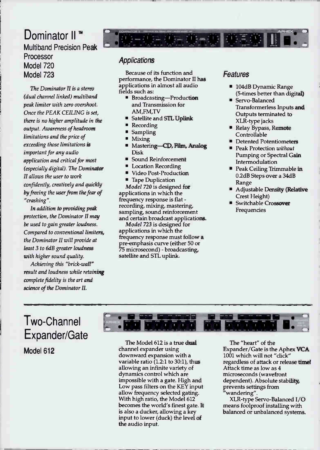## Dominator II<sup>™</sup> Multiband Precision Peak Processor Model 720 Model 723

The Dominator II is a stereo (dual channel linked) multiband peak limiter with zero overshoot. Once the PEAK CEILING is set, there is no higher amplitude in the output. Awareness of headroom limitations and the price of exceeding those limitations is important for any audio application and critical for most (especially digital). The Dominator II allows the user to work confidently, creatively and quickly by freeing the user from the fear of "crashing".

In addition to providing peak protection, the Dominator II may be used to gain greater loudness. Compared to conventional limiters, the Dominator II will provide at least 3 to 6dB greater loudness with higher sound quality.

Achieving this "brick-wall" result and loudness while retaining complete fidelity is the art and science of the Dominator II.

## **Applications**

Because of its function and performance, the Dominator II has applications in almost all audio fields such as:

- **Broadcasting—Production** and Transmission for AM,FM,TV
- **Satellite and STL Uplink**
- Recording
- Sampling
- Mixing
- Mastering—CD, Film, Analog Disk
- Sound Reinforcement
- Location Recording
- Video Post-Production
- **Tape Duplication**

Model 720 is designed for applications in which the frequency response is flat recording, mixing, mastering, sampling, sound reinforcement and certain broadcast applications.

Model 723 is designed for applications in which the frequency response must follow a pre-emphasis curve (either 50 or 75 microsecond) - broadcasting, satellite and STL uplink.

## **Features**

1-第一章 毫耳德

- **104dB Dynamic Range** (5-times better than digital)
- **Servo-Balanced** Transformerless Inputs and Outputs terminated to XLR-type jacks
- Relay Bypass, Remote **Controllable**
- Detented Potentiometers
- **Peak Protection without** Pumping or Spectral Gain Intermodulation
- Peak Ceiling Trimmable in 0.2dB Steps over a 34dB Range
- Adjustable Density (Relative Crest Height)
- Switchable Crossover Frequencies

## Two-Channel Expander/Gate Model 612



The Model 612 is a true dual channel expander using downward expansion with a variable ratio (1.2:1 to 30:1), thus allowing an infinite variety of dynamics control which are impossible with a gate. High and Low pass filters on the KEY input allow frequency selected gating. With high ratio, the Model 612 becomes the world's finest gate. It is also a ducker, allowing a key input to lower (duck) the level of the audio input.

The "heart" of the Expander/Gate is the Aphex VCA 1001 which will not "click" regardless of attack or release time! Attack time as low as 4 microseconds (wavefront dependent). Absolute stability, prevents settings from wandering.

XLR-type Servo-Balanced I/O means foolproof installing with balanced or unbalanced systems.